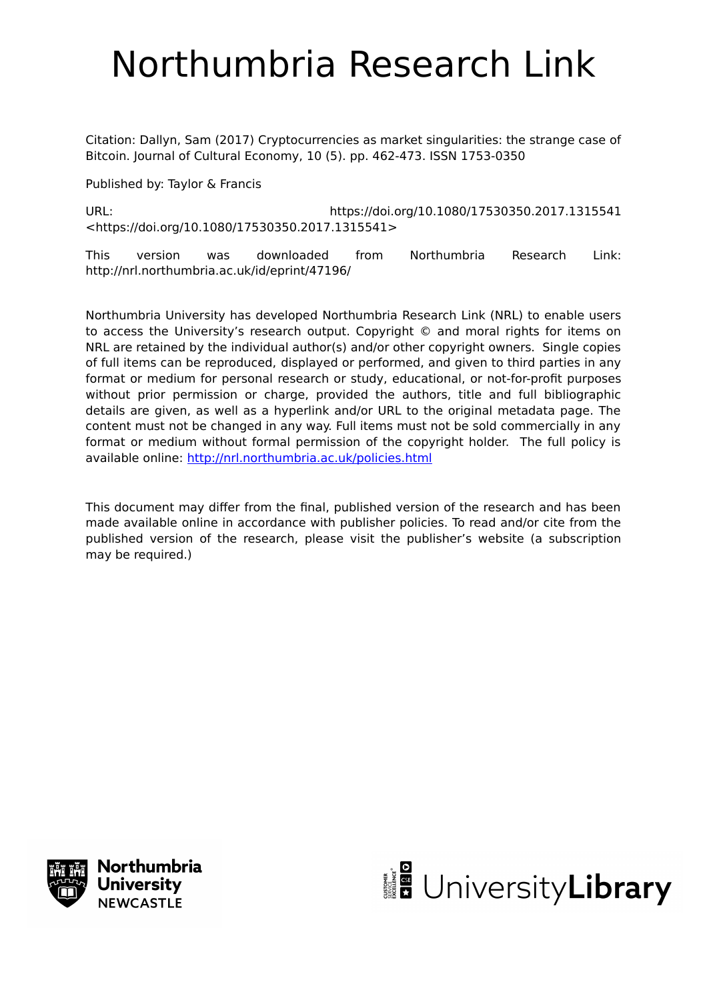# Northumbria Research Link

Citation: Dallyn, Sam (2017) Cryptocurrencies as market singularities: the strange case of Bitcoin. Journal of Cultural Economy, 10 (5). pp. 462-473. ISSN 1753-0350

Published by: Taylor & Francis

URL: https://doi.org/10.1080/17530350.2017.1315541 <https://doi.org/10.1080/17530350.2017.1315541>

This version was downloaded from Northumbria Research Link: http://nrl.northumbria.ac.uk/id/eprint/47196/

Northumbria University has developed Northumbria Research Link (NRL) to enable users to access the University's research output. Copyright © and moral rights for items on NRL are retained by the individual author(s) and/or other copyright owners. Single copies of full items can be reproduced, displayed or performed, and given to third parties in any format or medium for personal research or study, educational, or not-for-profit purposes without prior permission or charge, provided the authors, title and full bibliographic details are given, as well as a hyperlink and/or URL to the original metadata page. The content must not be changed in any way. Full items must not be sold commercially in any format or medium without formal permission of the copyright holder. The full policy is available online:<http://nrl.northumbria.ac.uk/policies.html>

This document may differ from the final, published version of the research and has been made available online in accordance with publisher policies. To read and/or cite from the published version of the research, please visit the publisher's website (a subscription may be required.)



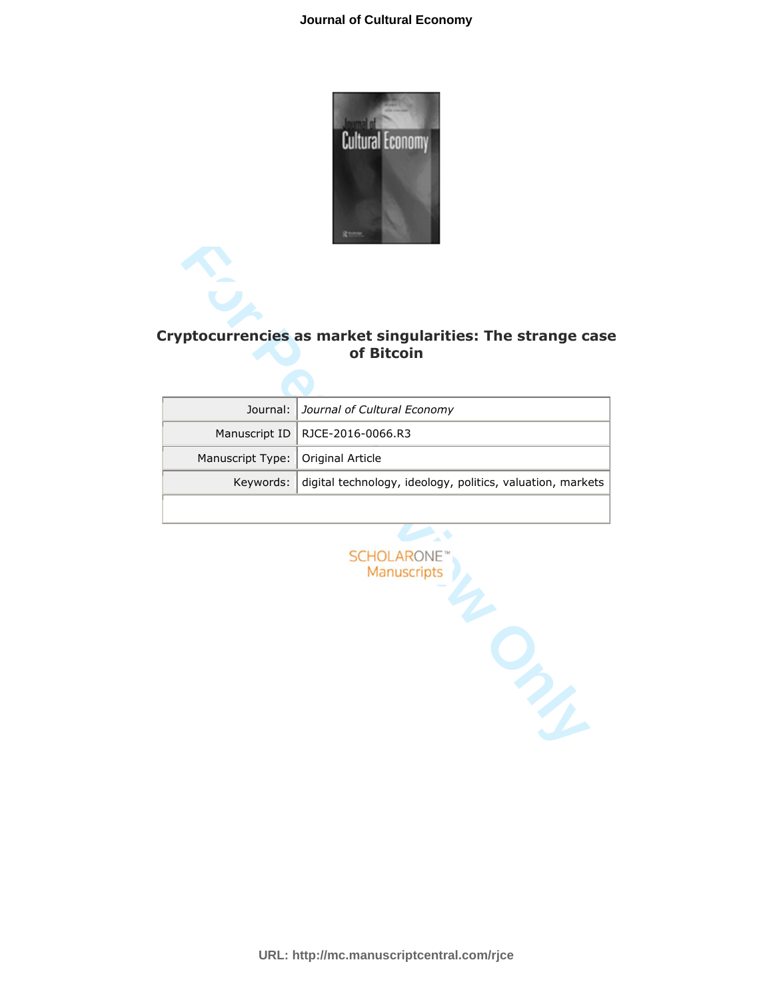# **Journal of Cultural Economy**



# **Cryptocurrencies as market singularities: The strange case of Bitcoin**

|                                     | Journal: Journal of Cultural Economy                                 |
|-------------------------------------|----------------------------------------------------------------------|
|                                     | Manuscript ID   RJCE-2016-0066.R3                                    |
| Manuscript Type:   Original Article |                                                                      |
|                                     | Keywords: digital technology, ideology, politics, valuation, markets |
|                                     |                                                                      |

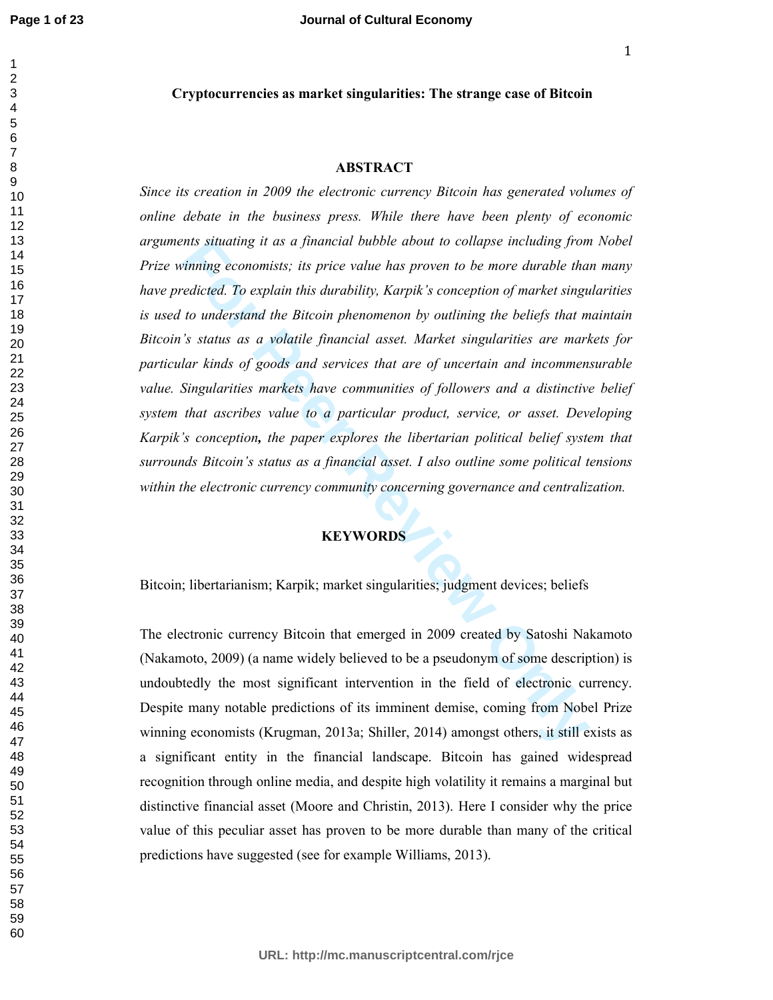#### **Cryptocurrencies as market singularities: The strange case of Bitcoin**

#### **ABSTRACT**

*Formalies it as a jinancial bubble about to collapse including from*<br> *Formalig economists; its price value has proven to be more durable that<br>
redicted. To explain this durability, Karpik's conception of market singulo<br> Since its creation in 2009 the electronic currency Bitcoin has generated volumes of online debate in the business press. While there have been plenty of economic arguments situating it as a financial bubble about to collapse including from Nobel Prize winning economists; its price value has proven to be more durable than many have predicted. To explain this durability, Karpik's conception of market singularities is used to understand the Bitcoin phenomenon by outlining the beliefs that maintain Bitcoin's status as a volatile financial asset. Market singularities are markets for particular kinds of goods and services that are of uncertain and incommensurable value. Singularities markets have communities of followers and a distinctive belief system that ascribes value to a particular product, service, or asset. Developing Karpik's conception, the paper explores the libertarian political belief system that surrounds Bitcoin's status as a financial asset. I also outline some political tensions within the electronic currency community concerning governance and centralization.* 

# **KEYWORDS**

Bitcoin; libertarianism; Karpik; market singularities; judgment devices; beliefs

The electronic currency Bitcoin that emerged in 2009 created by Satoshi Nakamoto (Nakamoto, 2009) (a name widely believed to be a pseudonym of some description) is undoubtedly the most significant intervention in the field of electronic currency. Despite many notable predictions of its imminent demise, coming from Nobel Prize winning economists (Krugman, 2013a; Shiller, 2014) amongst others, it still exists as a significant entity in the financial landscape. Bitcoin has gained widespread recognition through online media, and despite high volatility it remains a marginal but distinctive financial asset (Moore and Christin, 2013). Here I consider why the price value of this peculiar asset has proven to be more durable than many of the critical predictions have suggested (see for example Williams, 2013).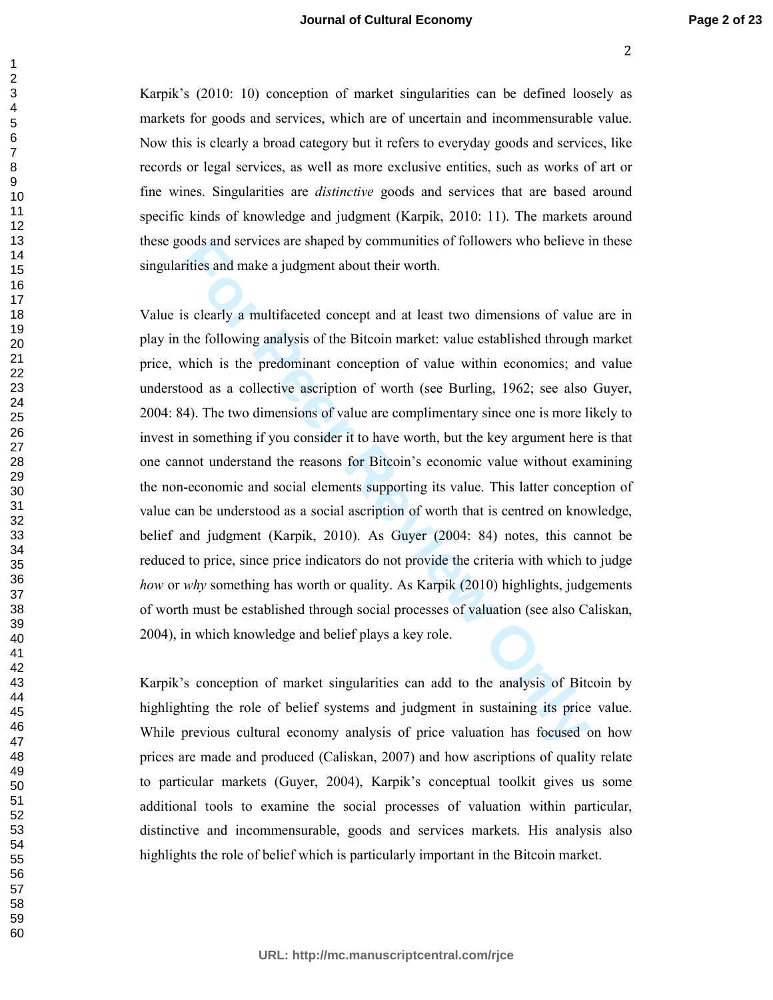Karpik's (2010: 10) conception of market singularities can be defined loosely as markets for goods and services, which are of uncertain and incommensurable value. Now this is clearly a broad category but it refers to everyday goods and services, like records or legal services, as well as more exclusive entities, such as works of art or fine wines. Singularities are *distinctive* goods and services that are based around specific kinds of knowledge and judgment (Karpik, 2010: 11). The markets around these goods and services are shaped by communities of followers who believe in these singularities and make a judgment about their worth.

books and services are shaped by communities of followers who believe in<br>tries and make a judgment about their worth.<br>
It less clearly a multifaceted concept and at least two dimensions of value<br>
the following analysis of Value is clearly a multifaceted concept and at least two dimensions of value are in play in the following analysis of the Bitcoin market: value established through market price, which is the predominant conception of value within economics; and value understood as a collective ascription of worth (see Burling, 1962; see also Guyer, 2004: 84). The two dimensions of value are complimentary since one is more likely to invest in something if you consider it to have worth, but the key argument here is that one cannot understand the reasons for Bitcoin's economic value without examining the non-economic and social elements supporting its value. This latter conception of value can be understood as a social ascription of worth that is centred on knowledge, belief and judgment (Karpik, 2010). As Guyer (2004: 84) notes, this cannot be reduced to price, since price indicators do not provide the criteria with which to judge *how* or *why* something has worth or quality. As Karpik (2010) highlights, judgements of worth must be established through social processes of valuation (see also Caliskan, 2004), in which knowledge and belief plays a key role.

Karpik's conception of market singularities can add to the analysis of Bitcoin by highlighting the role of belief systems and judgment in sustaining its price value. While previous cultural economy analysis of price valuation has focused on how prices are made and produced (Caliskan, 2007) and how ascriptions of quality relate to particular markets (Guyer, 2004), Karpik's conceptual toolkit gives us some additional tools to examine the social processes of valuation within particular, distinctive and incommensurable, goods and services markets. His analysis also highlights the role of belief which is particularly important in the Bitcoin market.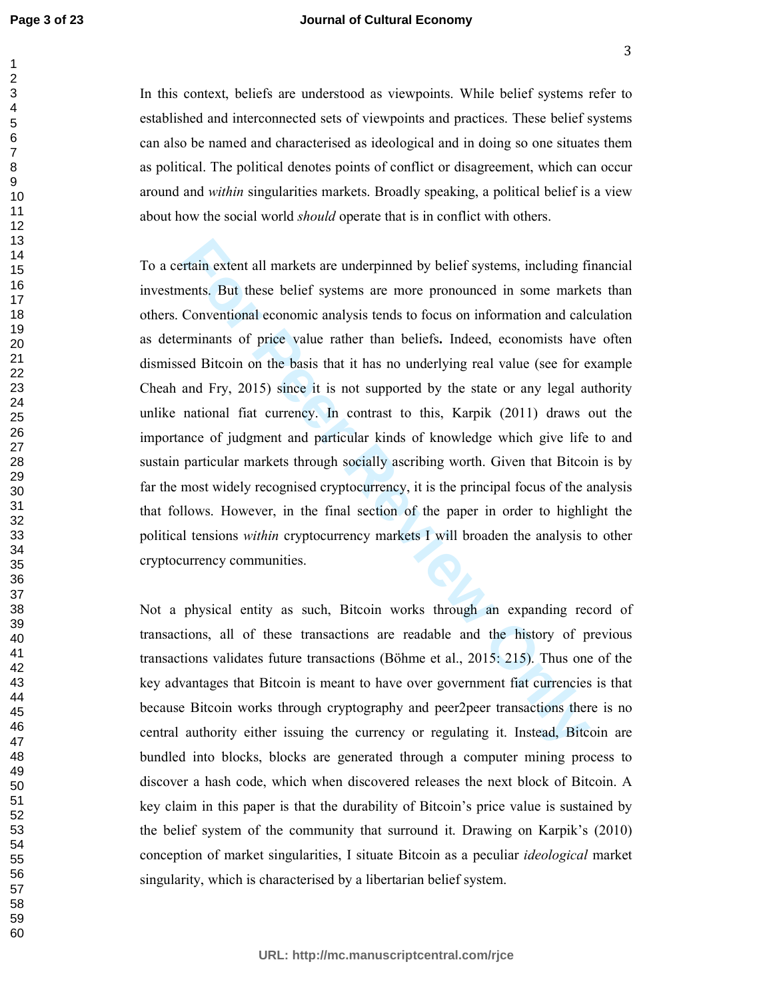#### **Journal of Cultural Economy**

In this context, beliefs are understood as viewpoints. While belief systems refer to established and interconnected sets of viewpoints and practices. These belief systems can also be named and characterised as ideological and in doing so one situates them as political. The political denotes points of conflict or disagreement, which can occur around and *within* singularities markets. Broadly speaking, a political belief is a view about how the social world *should* operate that is in conflict with others.

ortain extent all markets are underpinned by belief systems, including field that these belief systems are more pronounced in some marke Conventional economic analysis tends to focus on information and calcular extends of To a certain extent all markets are underpinned by belief systems, including financial investments. But these belief systems are more pronounced in some markets than others. Conventional economic analysis tends to focus on information and calculation as determinants of price value rather than beliefs**.** Indeed, economists have often dismissed Bitcoin on the basis that it has no underlying real value (see for example Cheah and Fry, 2015) since it is not supported by the state or any legal authority unlike national fiat currency. In contrast to this, Karpik (2011) draws out the importance of judgment and particular kinds of knowledge which give life to and sustain particular markets through socially ascribing worth. Given that Bitcoin is by far the most widely recognised cryptocurrency, it is the principal focus of the analysis that follows. However, in the final section of the paper in order to highlight the political tensions *within* cryptocurrency markets I will broaden the analysis to other cryptocurrency communities.

Not a physical entity as such, Bitcoin works through an expanding record of transactions, all of these transactions are readable and the history of previous transactions validates future transactions (Böhme et al., 2015: 215). Thus one of the key advantages that Bitcoin is meant to have over government fiat currencies is that because Bitcoin works through cryptography and peer2peer transactions there is no central authority either issuing the currency or regulating it. Instead, Bitcoin are bundled into blocks, blocks are generated through a computer mining process to discover a hash code, which when discovered releases the next block of Bitcoin. A key claim in this paper is that the durability of Bitcoin's price value is sustained by the belief system of the community that surround it. Drawing on Karpik's (2010) conception of market singularities, I situate Bitcoin as a peculiar *ideological* market singularity, which is characterised by a libertarian belief system.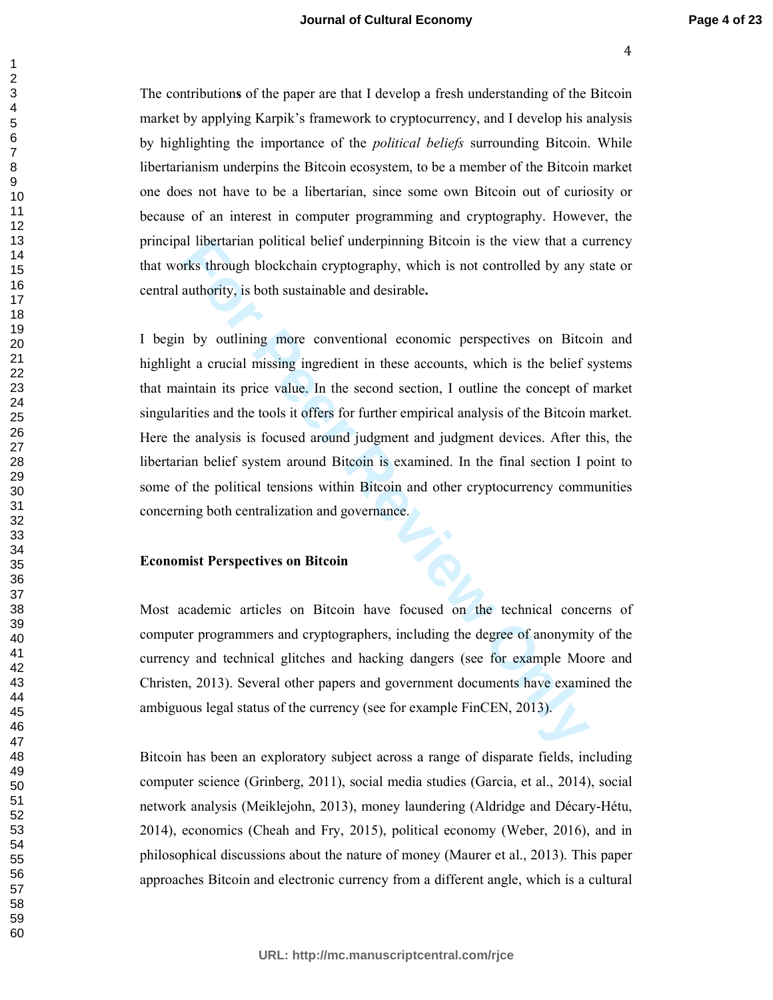The contribution**s** of the paper are that I develop a fresh understanding of the Bitcoin market by applying Karpik's framework to cryptocurrency, and I develop his analysis by highlighting the importance of the *political beliefs* surrounding Bitcoin. While libertarianism underpins the Bitcoin ecosystem, to be a member of the Bitcoin market one does not have to be a libertarian, since some own Bitcoin out of curiosity or because of an interest in computer programming and cryptography. However, the principal libertarian political belief underpinning Bitcoin is the view that a currency that works through blockchain cryptography, which is not controlled by any state or central authority, is both sustainable and desirable**.**

al libertarian political belief underpinning Bitcoin is the view that a comparison that a comparison is the view that a controlled by any sutthority, is both sustainable and desirable.<br>
1 by outliming more conventional eco I begin by outlining more conventional economic perspectives on Bitcoin and highlight a crucial missing ingredient in these accounts, which is the belief systems that maintain its price value. In the second section, I outline the concept of market singularities and the tools it offers for further empirical analysis of the Bitcoin market. Here the analysis is focused around judgment and judgment devices. After this, the libertarian belief system around Bitcoin is examined. In the final section I point to some of the political tensions within Bitcoin and other cryptocurrency communities concerning both centralization and governance.

#### **Economist Perspectives on Bitcoin**

Most academic articles on Bitcoin have focused on the technical concerns of computer programmers and cryptographers, including the degree of anonymity of the currency and technical glitches and hacking dangers (see for example Moore and Christen, 2013). Several other papers and government documents have examined the ambiguous legal status of the currency (see for example FinCEN, 2013).

Bitcoin has been an exploratory subject across a range of disparate fields, including computer science (Grinberg, 2011), social media studies (Garcia, et al., 2014), social network analysis (Meiklejohn, 2013), money laundering (Aldridge and Décary-Hétu, 2014), economics (Cheah and Fry, 2015), political economy (Weber, 2016), and in philosophical discussions about the nature of money (Maurer et al., 2013). This paper approaches Bitcoin and electronic currency from a different angle, which is a cultural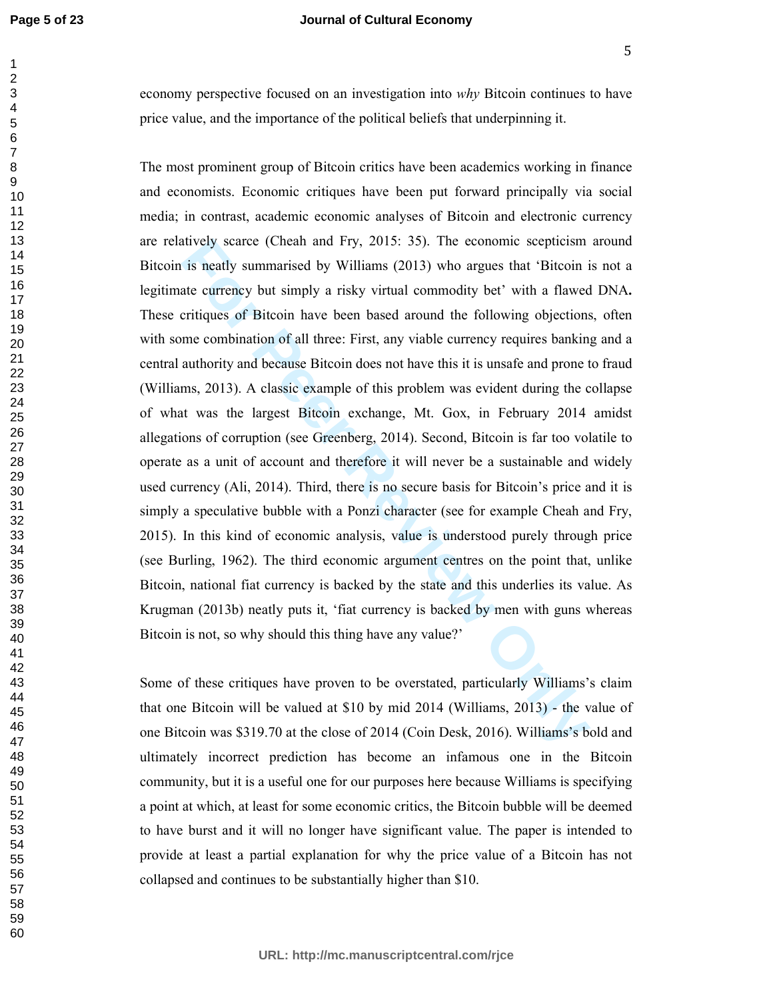economy perspective focused on an investigation into *why* Bitcoin continues to have price value, and the importance of the political beliefs that underpinning it.

Itvely scarce (Cheah and Fry, 2015: 35). The economic scepticsm<br>
is neatly summarised by Williams (2013) who argues that 'Bitcoin<br>
iate currency but simply a risky virtual commodity bet' with a flaved<br>
reitiques of Bitcoin The most prominent group of Bitcoin critics have been academics working in finance and economists. Economic critiques have been put forward principally via social media; in contrast, academic economic analyses of Bitcoin and electronic currency are relatively scarce (Cheah and Fry, 2015: 35). The economic scepticism around Bitcoin is neatly summarised by Williams (2013) who argues that 'Bitcoin is not a legitimate currency but simply a risky virtual commodity bet' with a flawed DNA**.** These critiques of Bitcoin have been based around the following objections, often with some combination of all three: First, any viable currency requires banking and a central authority and because Bitcoin does not have this it is unsafe and prone to fraud (Williams, 2013). A classic example of this problem was evident during the collapse of what was the largest Bitcoin exchange, Mt. Gox, in February 2014 amidst allegations of corruption (see Greenberg, 2014). Second, Bitcoin is far too volatile to operate as a unit of account and therefore it will never be a sustainable and widely used currency (Ali, 2014). Third, there is no secure basis for Bitcoin's price and it is simply a speculative bubble with a Ponzi character (see for example Cheah and Fry, 2015). In this kind of economic analysis, value is understood purely through price (see Burling, 1962). The third economic argument centres on the point that, unlike Bitcoin, national fiat currency is backed by the state and this underlies its value. As Krugman (2013b) neatly puts it, 'fiat currency is backed by men with guns whereas Bitcoin is not, so why should this thing have any value?'

Some of these critiques have proven to be overstated, particularly Williams's claim that one Bitcoin will be valued at \$10 by mid 2014 (Williams, 2013) - the value of one Bitcoin was \$319.70 at the close of 2014 (Coin Desk, 2016). Williams's bold and ultimately incorrect prediction has become an infamous one in the Bitcoin community, but it is a useful one for our purposes here because Williams is specifying a point at which, at least for some economic critics, the Bitcoin bubble will be deemed to have burst and it will no longer have significant value. The paper is intended to provide at least a partial explanation for why the price value of a Bitcoin has not collapsed and continues to be substantially higher than \$10.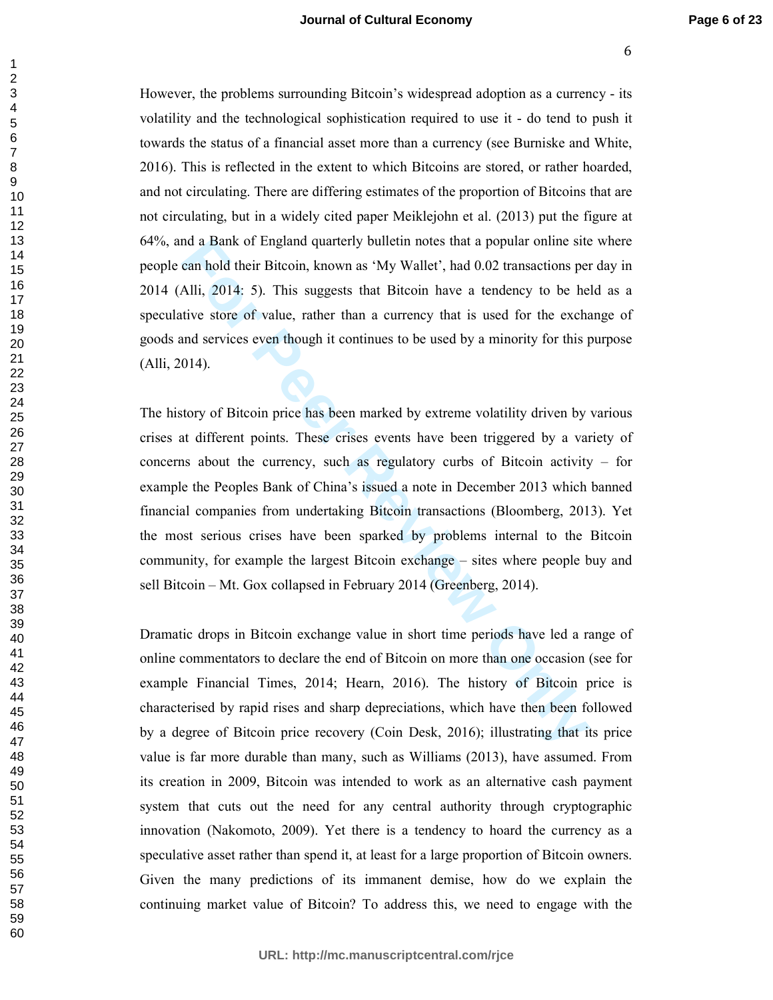However, the problems surrounding Bitcoin's widespread adoption as a currency - its volatility and the technological sophistication required to use it - do tend to push it towards the status of a financial asset more than a currency (see Burniske and White, 2016). This is reflected in the extent to which Bitcoins are stored, or rather hoarded, and not circulating. There are differing estimates of the proportion of Bitcoins that are not circulating, but in a widely cited paper Meiklejohn et al. (2013) put the figure at 64%, and a Bank of England quarterly bulletin notes that a popular online site where people can hold their Bitcoin, known as 'My Wallet', had 0.02 transactions per day in 2014 (Alli, 2014: 5). This suggests that Bitcoin have a tendency to be held as a speculative store of value, rather than a currency that is used for the exchange of goods and services even though it continues to be used by a minority for this purpose (Alli, 2014).

nd a Bank of England quarterly bulletin notes that a popular online site<br>can hold their Bitcoin, known as 'My Wallet', had 0.02 transactions pe<br>Alli, 2014: 5). This suggests that Bitcoin have a tendency to be he<br>tive store The history of Bitcoin price has been marked by extreme volatility driven by various crises at different points. These crises events have been triggered by a variety of concerns about the currency, such as regulatory curbs of Bitcoin activity – for example the Peoples Bank of China's issued a note in December 2013 which banned financial companies from undertaking Bitcoin transactions (Bloomberg, 2013). Yet the most serious crises have been sparked by problems internal to the Bitcoin community, for example the largest Bitcoin exchange – sites where people buy and sell Bitcoin – Mt. Gox collapsed in February 2014 (Greenberg, 2014).

Dramatic drops in Bitcoin exchange value in short time periods have led a range of online commentators to declare the end of Bitcoin on more than one occasion (see for example Financial Times, 2014; Hearn, 2016). The history of Bitcoin price is characterised by rapid rises and sharp depreciations, which have then been followed by a degree of Bitcoin price recovery (Coin Desk, 2016); illustrating that its price value is far more durable than many, such as Williams (2013), have assumed. From its creation in 2009, Bitcoin was intended to work as an alternative cash payment system that cuts out the need for any central authority through cryptographic innovation (Nakomoto, 2009). Yet there is a tendency to hoard the currency as a speculative asset rather than spend it, at least for a large proportion of Bitcoin owners. Given the many predictions of its immanent demise, how do we explain the continuing market value of Bitcoin? To address this, we need to engage with the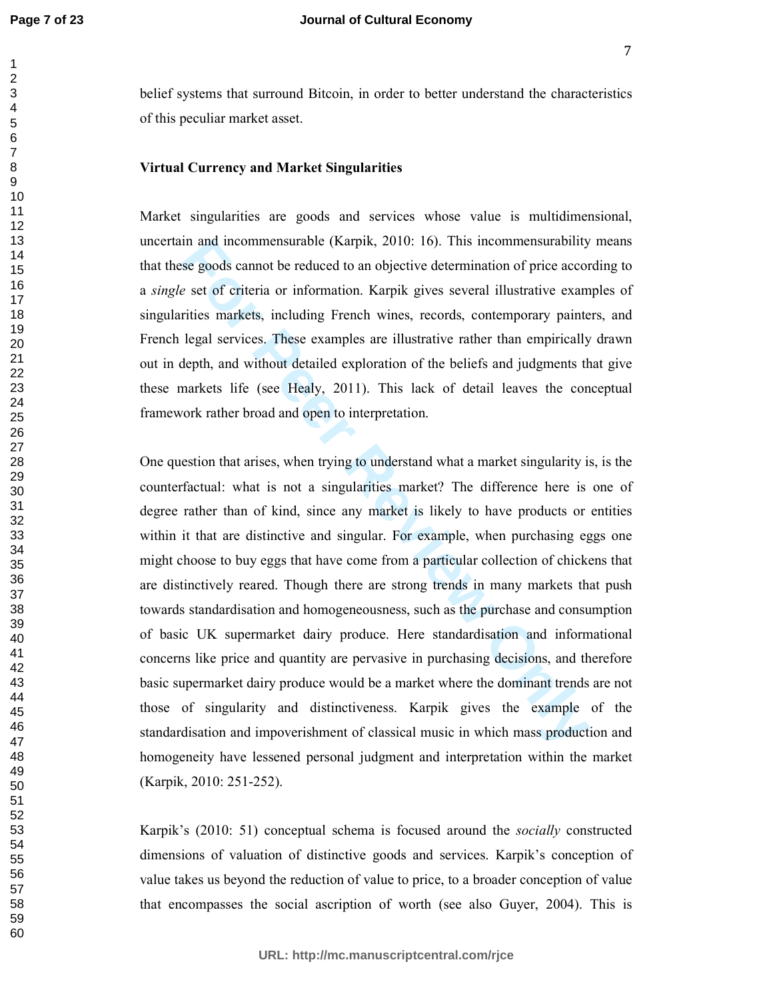belief systems that surround Bitcoin, in order to better understand the characteristics of this peculiar market asset.

#### **Virtual Currency and Market Singularities**

Market singularities are goods and services whose value is multidimensional, uncertain and incommensurable (Karpik, 2010: 16). This incommensurability means that these goods cannot be reduced to an objective determination of price according to a *single* set of criteria or information. Karpik gives several illustrative examples of singularities markets, including French wines, records, contemporary painters, and French legal services. These examples are illustrative rather than empirically drawn out in depth, and without detailed exploration of the beliefs and judgments that give these markets life (see Healy, 2011). This lack of detail leaves the conceptual framework rather broad and open to interpretation.

In and incommensurable (Karpik, 2010: 16). This incommensurability<br>se goods cannot be reduced to an objective determination of price accor<br>set of criteria or information. Karpik gives several illustrative exam<br>rities marke One question that arises, when trying to understand what a market singularity is, is the counterfactual: what is not a singularities market? The difference here is one of degree rather than of kind, since any market is likely to have products or entities within it that are distinctive and singular. For example, when purchasing eggs one might choose to buy eggs that have come from a particular collection of chickens that are distinctively reared. Though there are strong trends in many markets that push towards standardisation and homogeneousness, such as the purchase and consumption of basic UK supermarket dairy produce. Here standardisation and informational concerns like price and quantity are pervasive in purchasing decisions, and therefore basic supermarket dairy produce would be a market where the dominant trends are not those of singularity and distinctiveness. Karpik gives the example of the standardisation and impoverishment of classical music in which mass production and homogeneity have lessened personal judgment and interpretation within the market (Karpik, 2010: 251-252).

Karpik's (2010: 51) conceptual schema is focused around the *socially* constructed dimensions of valuation of distinctive goods and services. Karpik's conception of value takes us beyond the reduction of value to price, to a broader conception of value that encompasses the social ascription of worth (see also Guyer, 2004). This is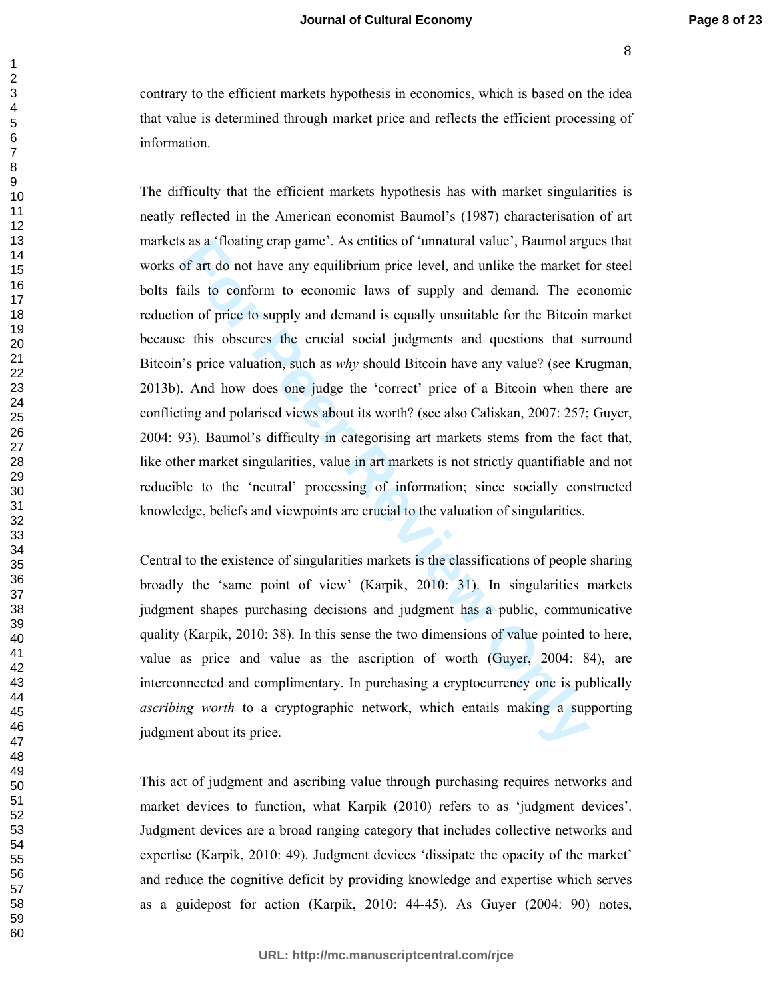contrary to the efficient markets hypothesis in economics, which is based on the idea that value is determined through market price and reflects the efficient processing of information.

**For Altertary Solution** CAS entities of 'unnatural value', Baumol argent and and the market fails to conform to economic laws of supply and demand. The econ of price to supply and demand is equally unsuitable for the Bitc The difficulty that the efficient markets hypothesis has with market singularities is neatly reflected in the American economist Baumol's (1987) characterisation of art markets as a 'floating crap game'. As entities of 'unnatural value', Baumol argues that works of art do not have any equilibrium price level, and unlike the market for steel bolts fails to conform to economic laws of supply and demand. The economic reduction of price to supply and demand is equally unsuitable for the Bitcoin market because this obscures the crucial social judgments and questions that surround Bitcoin's price valuation, such as *why* should Bitcoin have any value? (see Krugman, 2013b). And how does one judge the 'correct' price of a Bitcoin when there are conflicting and polarised views about its worth? (see also Caliskan, 2007: 257; Guyer, 2004: 93). Baumol's difficulty in categorising art markets stems from the fact that, like other market singularities, value in art markets is not strictly quantifiable and not reducible to the 'neutral' processing of information; since socially constructed knowledge, beliefs and viewpoints are crucial to the valuation of singularities.

Central to the existence of singularities markets is the classifications of people sharing broadly the 'same point of view' (Karpik, 2010: 31). In singularities markets judgment shapes purchasing decisions and judgment has a public, communicative quality (Karpik, 2010: 38). In this sense the two dimensions of value pointed to here, value as price and value as the ascription of worth (Guyer, 2004: 84), are interconnected and complimentary. In purchasing a cryptocurrency one is publically *ascribing worth* to a cryptographic network, which entails making a supporting judgment about its price.

This act of judgment and ascribing value through purchasing requires networks and market devices to function, what Karpik (2010) refers to as 'judgment devices'. Judgment devices are a broad ranging category that includes collective networks and expertise (Karpik, 2010: 49). Judgment devices 'dissipate the opacity of the market' and reduce the cognitive deficit by providing knowledge and expertise which serves as a guidepost for action (Karpik, 2010: 44-45). As Guyer (2004: 90) notes,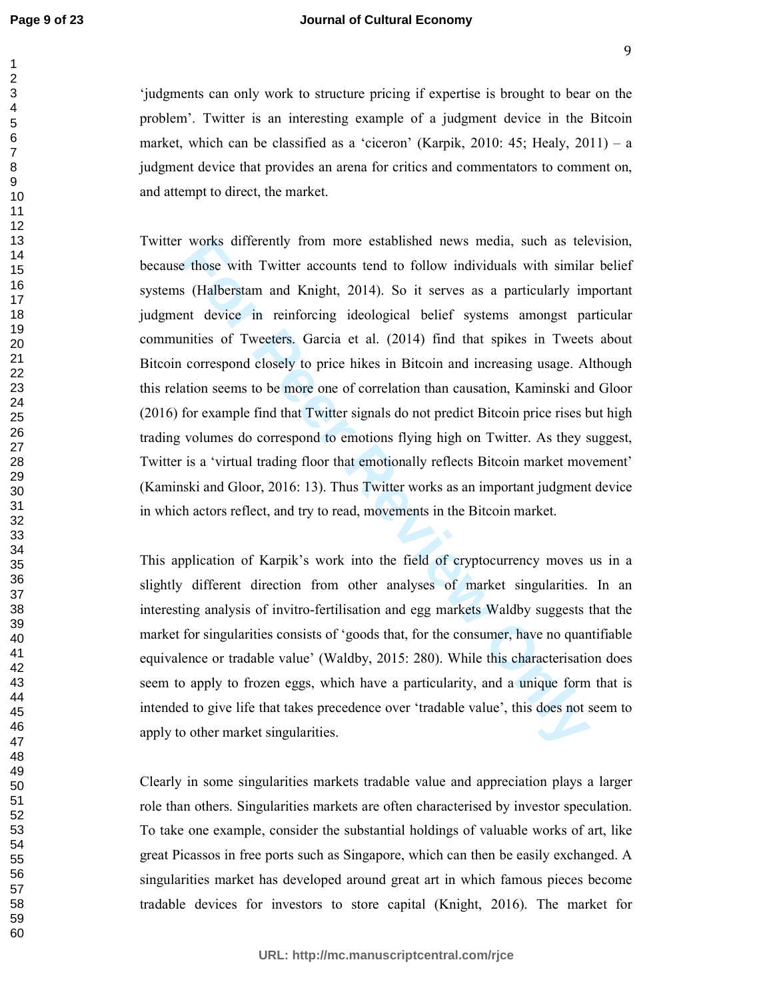### **Journal of Cultural Economy**

'judgments can only work to structure pricing if expertise is brought to bear on the problem'. Twitter is an interesting example of a judgment device in the Bitcoin market, which can be classified as a 'ciceron' (Karpik, 2010: 45; Healy, ) – a judgment device that provides an arena for critics and commentators to comment on, and attempt to direct, the market.

works differently from more established news media, such as tele<br>those with Twitter accounts tend to follow individuals with similar<br>(Halberstam and Knight, 2014). So it serves as a particularly im<br>the device in reinforcin Twitter works differently from more established news media, such as television, because those with Twitter accounts tend to follow individuals with similar belief systems (Halberstam and Knight, 2014). So it serves as a particularly important judgment device in reinforcing ideological belief systems amongst particular communities of Tweeters. Garcia et al. (2014) find that spikes in Tweets about Bitcoin correspond closely to price hikes in Bitcoin and increasing usage. Although this relation seems to be more one of correlation than causation, Kaminski and Gloor (2016) for example find that Twitter signals do not predict Bitcoin price rises but high trading volumes do correspond to emotions flying high on Twitter. As they suggest, Twitter is a 'virtual trading floor that emotionally reflects Bitcoin market movement' (Kaminski and Gloor, 2016: 13). Thus Twitter works as an important judgment device in which actors reflect, and try to read, movements in the Bitcoin market.

This application of Karpik's work into the field of cryptocurrency moves us in a slightly different direction from other analyses of market singularities. In an interesting analysis of invitro-fertilisation and egg markets Waldby suggests that the market for singularities consists of 'goods that, for the consumer, have no quantifiable equivalence or tradable value' (Waldby, 2015: 280). While this characterisation does seem to apply to frozen eggs, which have a particularity, and a unique form that is intended to give life that takes precedence over 'tradable value', this does not seem to apply to other market singularities.

Clearly in some singularities markets tradable value and appreciation plays a larger role than others. Singularities markets are often characterised by investor speculation. To take one example, consider the substantial holdings of valuable works of art, like great Picassos in free ports such as Singapore, which can then be easily exchanged. A singularities market has developed around great art in which famous pieces become tradable devices for investors to store capital (Knight, 2016). The market for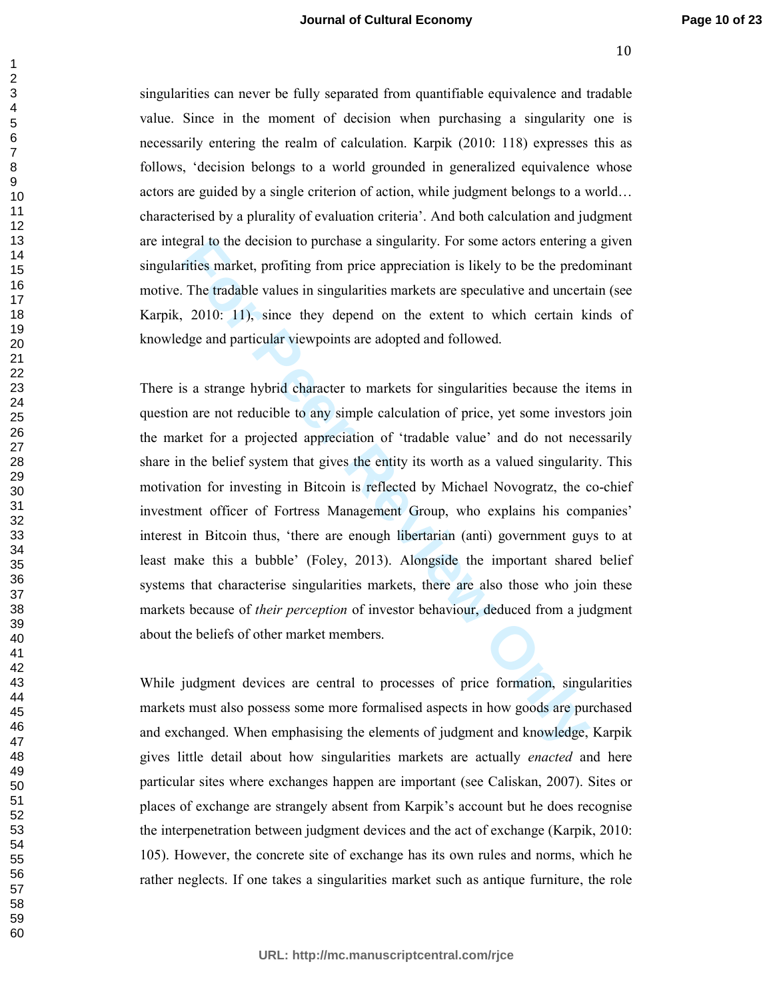#### **Journal of Cultural Economy**

singularities can never be fully separated from quantifiable equivalence and tradable value. Since in the moment of decision when purchasing a singularity one is necessarily entering the realm of calculation. Karpik (2010: 118) expresses this as follows, 'decision belongs to a world grounded in generalized equivalence whose actors are guided by a single criterion of action, while judgment belongs to a world… characterised by a plurality of evaluation criteria'. And both calculation and judgment are integral to the decision to purchase a singularity. For some actors entering a given singularities market, profiting from price appreciation is likely to be the predominant motive. The tradable values in singularities markets are speculative and uncertain (see Karpik, 2010: 11), since they depend on the extent to which certain kinds of knowledge and particular viewpoints are adopted and followed.

igral to the decision to purchase a singularity. For some actors entering<br>trities market, profiting from price appreciation is likely to be the predd<br>The tradable values in singularities markets are speculative and uncert<br> There is a strange hybrid character to markets for singularities because the items in question are not reducible to any simple calculation of price, yet some investors join the market for a projected appreciation of 'tradable value' and do not necessarily share in the belief system that gives the entity its worth as a valued singularity. This motivation for investing in Bitcoin is reflected by Michael Novogratz, the co-chief investment officer of Fortress Management Group, who explains his companies' interest in Bitcoin thus, 'there are enough libertarian (anti) government guys to at least make this a bubble' (Foley, 2013). Alongside the important shared belief systems that characterise singularities markets, there are also those who join these markets because of *their perception* of investor behaviour, deduced from a judgment about the beliefs of other market members.

While judgment devices are central to processes of price formation, singularities markets must also possess some more formalised aspects in how goods are purchased and exchanged. When emphasising the elements of judgment and knowledge, Karpik gives little detail about how singularities markets are actually *enacted* and here particular sites where exchanges happen are important (see Caliskan, 2007). Sites or places of exchange are strangely absent from Karpik's account but he does recognise the interpenetration between judgment devices and the act of exchange (Karpik, 2010: 105). However, the concrete site of exchange has its own rules and norms, which he rather neglects. If one takes a singularities market such as antique furniture, the role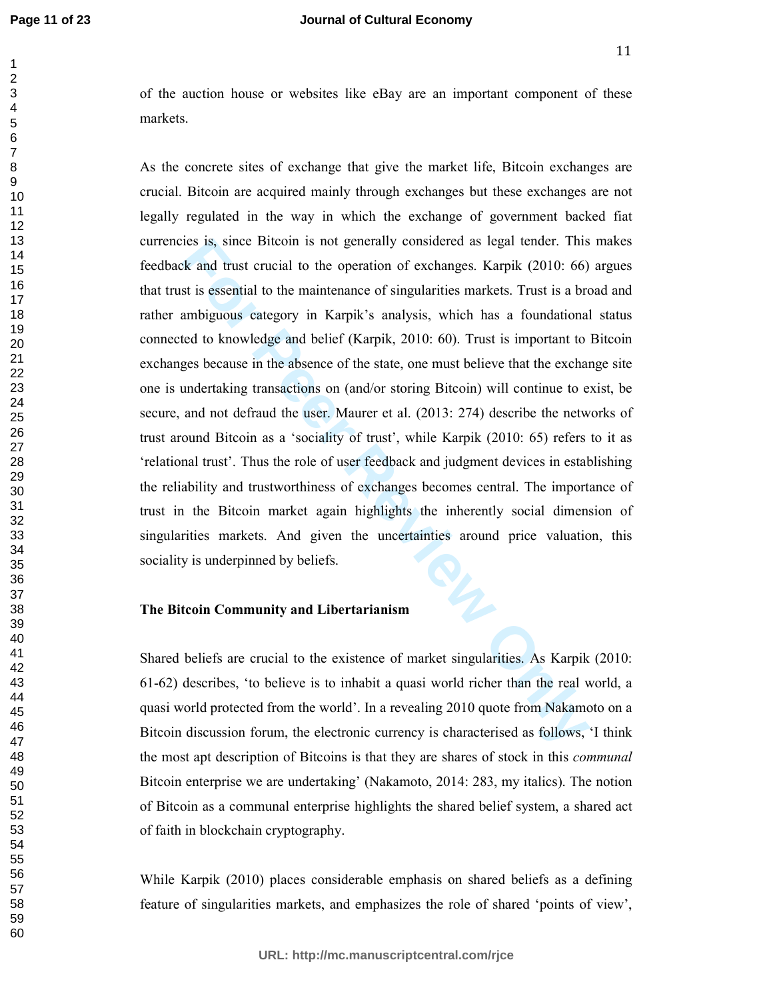**Page 11 of 23**

#### **Journal of Cultural Economy**

of the auction house or websites like eBay are an important component of these markets.

ies is, since Bitcom is not generally considered as legal tender. This<br>
k and trust crucial to the operation of exchanges. Karpik (2010: 66)<br>
st is essential to the maintenance of singularities markets. Trust is a brombigu As the concrete sites of exchange that give the market life, Bitcoin exchanges are crucial. Bitcoin are acquired mainly through exchanges but these exchanges are not legally regulated in the way in which the exchange of government backed fiat currencies is, since Bitcoin is not generally considered as legal tender. This makes feedback and trust crucial to the operation of exchanges. Karpik (2010: 66) argues that trust is essential to the maintenance of singularities markets. Trust is a broad and rather ambiguous category in Karpik's analysis, which has a foundational status connected to knowledge and belief (Karpik, 2010: 60). Trust is important to Bitcoin exchanges because in the absence of the state, one must believe that the exchange site one is undertaking transactions on (and/or storing Bitcoin) will continue to exist, be secure, and not defraud the user. Maurer et al. (2013: 274) describe the networks of trust around Bitcoin as a 'sociality of trust', while Karpik (2010: 65) refers to it as 'relational trust'. Thus the role of user feedback and judgment devices in establishing the reliability and trustworthiness of exchanges becomes central. The importance of trust in the Bitcoin market again highlights the inherently social dimension of singularities markets. And given the uncertainties around price valuation, this sociality is underpinned by beliefs.

# **The Bitcoin Community and Libertarianism**

Shared beliefs are crucial to the existence of market singularities. As Karpik (2010: 61-62) describes, 'to believe is to inhabit a quasi world richer than the real world, a quasi world protected from the world'. In a revealing 2010 quote from Nakamoto on a Bitcoin discussion forum, the electronic currency is characterised as follows, 'I think the most apt description of Bitcoins is that they are shares of stock in this *communal* Bitcoin enterprise we are undertaking' (Nakamoto, 2014: 283, my italics). The notion of Bitcoin as a communal enterprise highlights the shared belief system, a shared act of faith in blockchain cryptography.

While Karpik (2010) places considerable emphasis on shared beliefs as a defining feature of singularities markets, and emphasizes the role of shared 'points of view',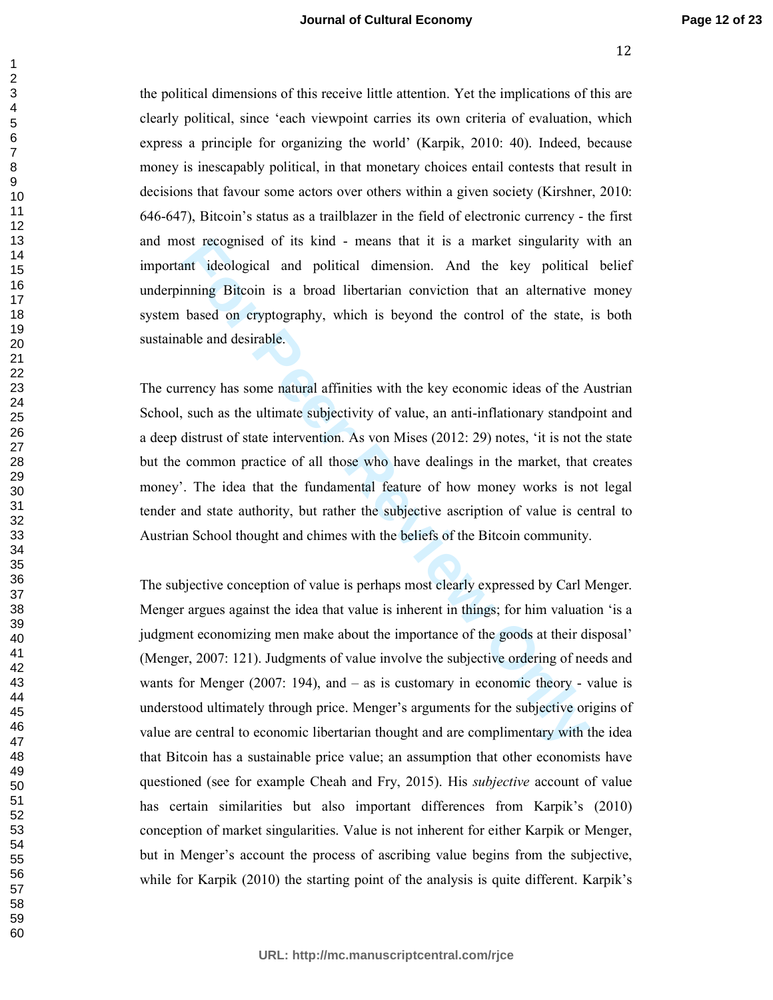the political dimensions of this receive little attention. Yet the implications of this are clearly political, since 'each viewpoint carries its own criteria of evaluation, which express a principle for organizing the world' (Karpik, 2010: 40). Indeed, because money is inescapably political, in that monetary choices entail contests that result in decisions that favour some actors over others within a given society (Kirshner, 2010: 646-647), Bitcoin's status as a trailblazer in the field of electronic currency - the first and most recognised of its kind - means that it is a market singularity with an important ideological and political dimension. And the key political belief underpinning Bitcoin is a broad libertarian conviction that an alternative money system based on cryptography, which is beyond the control of the state, is both sustainable and desirable.

The currency has some natural affinities with the key economic ideas of the Austrian School, such as the ultimate subjectivity of value, an anti-inflationary standpoint and a deep distrust of state intervention. As von Mises (2012: 29) notes, 'it is not the state but the common practice of all those who have dealings in the market, that creates money'. The idea that the fundamental feature of how money works is not legal tender and state authority, but rather the subjective ascription of value is central to Austrian School thought and chimes with the beliefs of the Bitcoin community.

bot recognised of its kind - means that it is a market singularity v<br>intideological and political dimension. And the key political<br>inning Bitcoin is a broad libertarian conviction that an alternative<br>based on cryptography, The subjective conception of value is perhaps most clearly expressed by Carl Menger. Menger argues against the idea that value is inherent in things; for him valuation 'is a judgment economizing men make about the importance of the goods at their disposal' (Menger, 2007: 121). Judgments of value involve the subjective ordering of needs and wants for Menger (2007: 194), and – as is customary in economic theory - value is understood ultimately through price. Menger's arguments for the subjective origins of value are central to economic libertarian thought and are complimentary with the idea that Bitcoin has a sustainable price value; an assumption that other economists have questioned (see for example Cheah and Fry, 2015). His *subjective* account of value has certain similarities but also important differences from Karpik's (2010) conception of market singularities. Value is not inherent for either Karpik or Menger, but in Menger's account the process of ascribing value begins from the subjective, while for Karpik (2010) the starting point of the analysis is quite different. Karpik's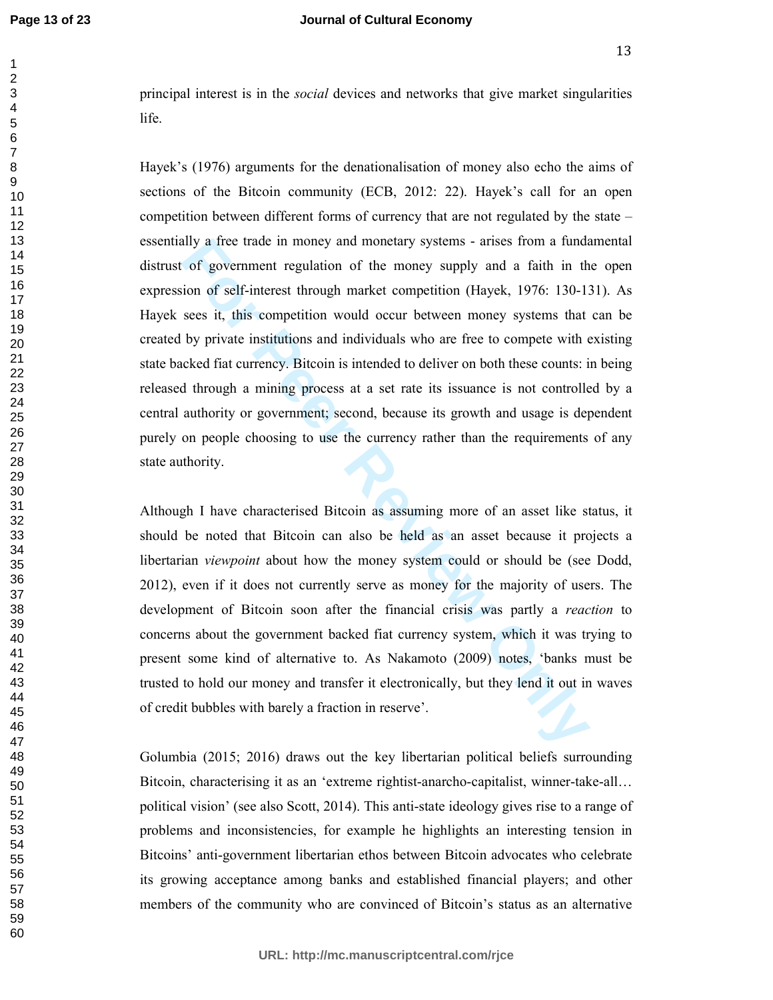principal interest is in the *social* devices and networks that give market singularities life.

ally a free trade in money and monetary systems - arises from a fund<br>of government regulation of the money supply and a faith in th<br>ion of self-interest through market competition (Hayek, 1976: 130-13<br>sees it, this competi Hayek's (1976) arguments for the denationalisation of money also echo the aims of sections of the Bitcoin community (ECB, 2012: 22). Hayek's call for an open competition between different forms of currency that are not regulated by the state – essentially a free trade in money and monetary systems - arises from a fundamental distrust of government regulation of the money supply and a faith in the open expression of self-interest through market competition (Hayek, 1976: 130-131). As Hayek sees it, this competition would occur between money systems that can be created by private institutions and individuals who are free to compete with existing state backed fiat currency. Bitcoin is intended to deliver on both these counts: in being released through a mining process at a set rate its issuance is not controlled by a central authority or government; second, because its growth and usage is dependent purely on people choosing to use the currency rather than the requirements of any state authority.

Although I have characterised Bitcoin as assuming more of an asset like status, it should be noted that Bitcoin can also be held as an asset because it projects a libertarian *viewpoint* about how the money system could or should be (see Dodd, 2012), even if it does not currently serve as money for the majority of users. The development of Bitcoin soon after the financial crisis was partly a *reaction* to concerns about the government backed fiat currency system, which it was trying to present some kind of alternative to. As Nakamoto (2009) notes, 'banks must be trusted to hold our money and transfer it electronically, but they lend it out in waves of credit bubbles with barely a fraction in reserve'.

Golumbia (2015; 2016) draws out the key libertarian political beliefs surrounding Bitcoin, characterising it as an 'extreme rightist-anarcho-capitalist, winner-take-all… political vision' (see also Scott, 2014). This anti-state ideology gives rise to a range of problems and inconsistencies, for example he highlights an interesting tension in Bitcoins' anti-government libertarian ethos between Bitcoin advocates who celebrate its growing acceptance among banks and established financial players; and other members of the community who are convinced of Bitcoin's status as an alternative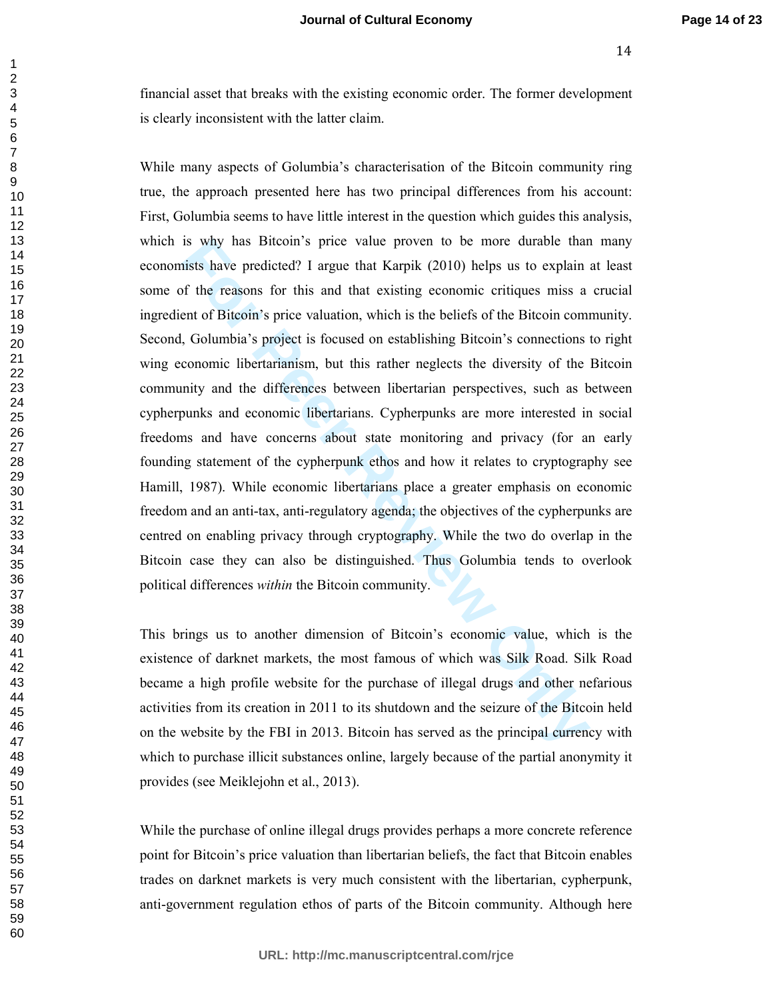financial asset that breaks with the existing economic order. The former development is clearly inconsistent with the latter claim.

Is why has Bitcom's price value proven to be more durable than<br>ists have predicted? I argue that Karpik (2010) helps us to explain<br>of the reasons for this and that existing economic critiques miss a<br>ent of Bitcom's price v While many aspects of Golumbia's characterisation of the Bitcoin community ring true, the approach presented here has two principal differences from his account: First, Golumbia seems to have little interest in the question which guides this analysis, which is why has Bitcoin's price value proven to be more durable than many economists have predicted? I argue that Karpik (2010) helps us to explain at least some of the reasons for this and that existing economic critiques miss a crucial ingredient of Bitcoin's price valuation, which is the beliefs of the Bitcoin community. Second, Golumbia's project is focused on establishing Bitcoin's connections to right wing economic libertarianism, but this rather neglects the diversity of the Bitcoin community and the differences between libertarian perspectives, such as between cypherpunks and economic libertarians. Cypherpunks are more interested in social freedoms and have concerns about state monitoring and privacy (for an early founding statement of the cypherpunk ethos and how it relates to cryptography see Hamill, 1987). While economic libertarians place a greater emphasis on economic freedom and an anti-tax, anti-regulatory agenda; the objectives of the cypherpunks are centred on enabling privacy through cryptography. While the two do overlap in the Bitcoin case they can also be distinguished. Thus Golumbia tends to overlook political differences *within* the Bitcoin community.

This brings us to another dimension of Bitcoin's economic value, which is the existence of darknet markets, the most famous of which was Silk Road. Silk Road became a high profile website for the purchase of illegal drugs and other nefarious activities from its creation in 2011 to its shutdown and the seizure of the Bitcoin held on the website by the FBI in 2013. Bitcoin has served as the principal currency with which to purchase illicit substances online, largely because of the partial anonymity it provides (see Meiklejohn et al., 2013).

While the purchase of online illegal drugs provides perhaps a more concrete reference point for Bitcoin's price valuation than libertarian beliefs, the fact that Bitcoin enables trades on darknet markets is very much consistent with the libertarian, cypherpunk, anti-government regulation ethos of parts of the Bitcoin community. Although here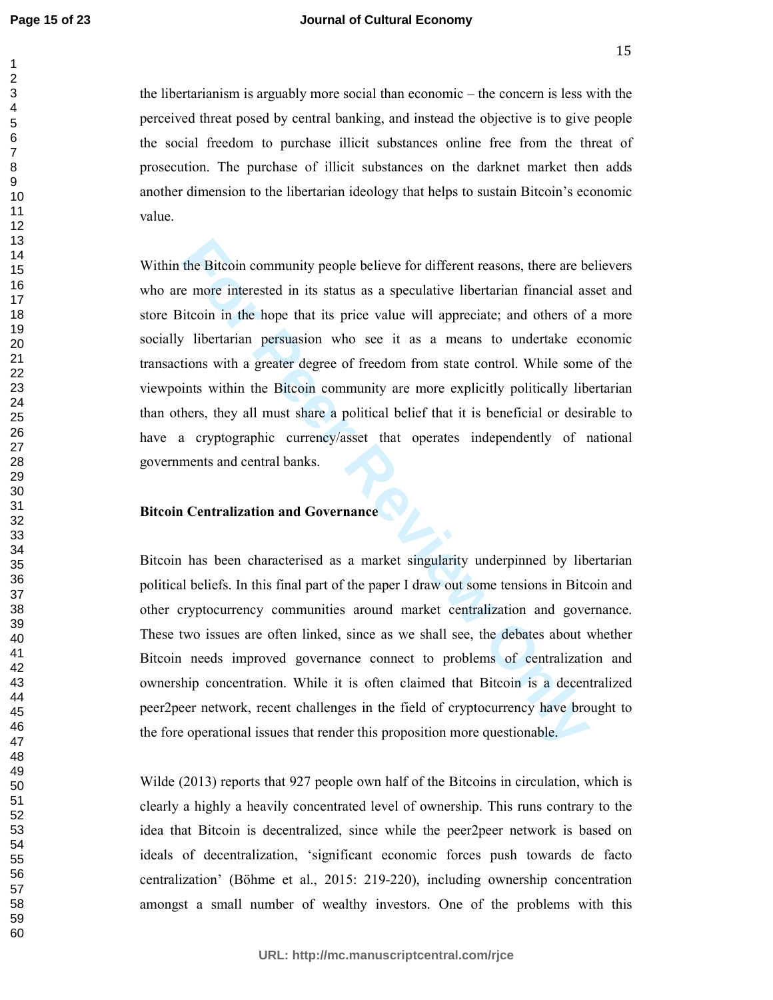the libertarianism is arguably more social than economic – the concern is less with the perceived threat posed by central banking, and instead the objective is to give people the social freedom to purchase illicit substances online free from the threat of prosecution. The purchase of illicit substances on the darknet market then adds another dimension to the libertarian ideology that helps to sustain Bitcoin's economic value.

the Bitcoin community people believe for different reasons, there are be<br>nore interested in its status as a speculative libertarian financial as<br>itcoin in the hope that its price value will appreciate; and others of<br>libert Within the Bitcoin community people believe for different reasons, there are believers who are more interested in its status as a speculative libertarian financial asset and store Bitcoin in the hope that its price value will appreciate; and others of a more socially libertarian persuasion who see it as a means to undertake economic transactions with a greater degree of freedom from state control. While some of the viewpoints within the Bitcoin community are more explicitly politically libertarian than others, they all must share a political belief that it is beneficial or desirable to have a cryptographic currency/asset that operates independently of national governments and central banks.

# **Bitcoin Centralization and Governance**

Bitcoin has been characterised as a market singularity underpinned by libertarian political beliefs. In this final part of the paper I draw out some tensions in Bitcoin and other cryptocurrency communities around market centralization and governance. These two issues are often linked, since as we shall see, the debates about whether Bitcoin needs improved governance connect to problems of centralization and ownership concentration. While it is often claimed that Bitcoin is a decentralized peer2peer network, recent challenges in the field of cryptocurrency have brought to the fore operational issues that render this proposition more questionable.

Wilde (2013) reports that 927 people own half of the Bitcoins in circulation, which is clearly a highly a heavily concentrated level of ownership. This runs contrary to the idea that Bitcoin is decentralized, since while the peer2peer network is based on ideals of decentralization, 'significant economic forces push towards de facto centralization' (Böhme et al., 2015: 219-220), including ownership concentration amongst a small number of wealthy investors. One of the problems with this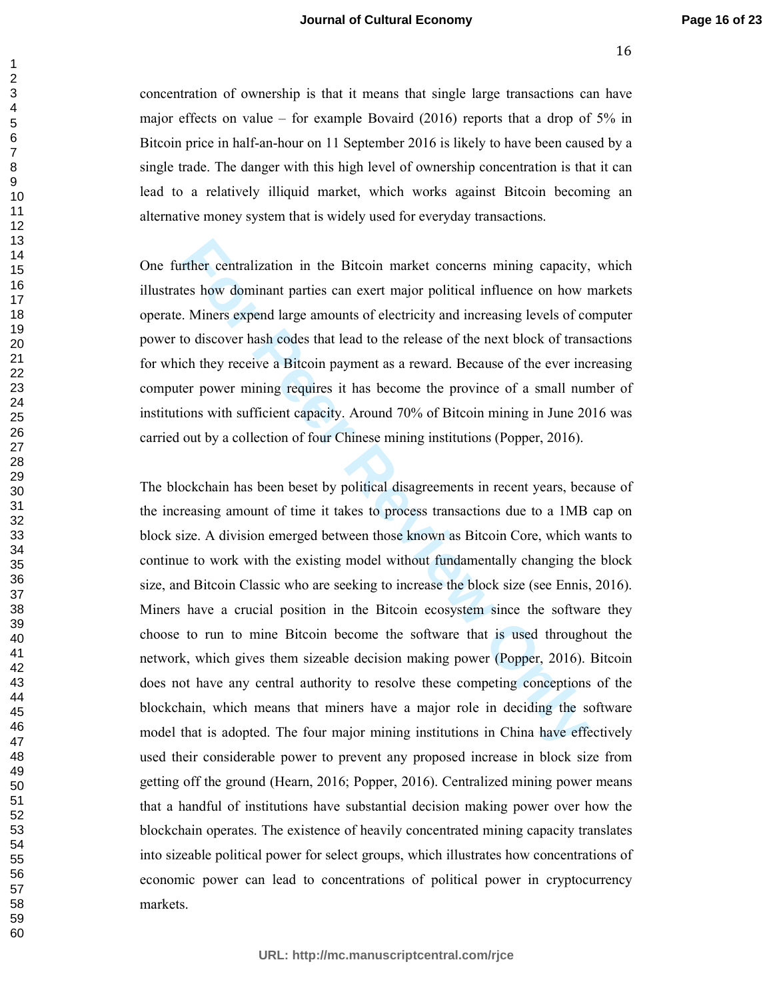concentration of ownership is that it means that single large transactions can have major effects on value – for example Bovaird  $(2016)$  reports that a drop of 5% in Bitcoin price in half-an-hour on 11 September 2016 is likely to have been caused by a single trade. The danger with this high level of ownership concentration is that it can lead to a relatively illiquid market, which works against Bitcoin becoming an alternative money system that is widely used for everyday transactions.

One further centralization in the Bitcoin market concerns mining capacity, which illustrates how dominant parties can exert major political influence on how markets operate. Miners expend large amounts of electricity and increasing levels of computer power to discover hash codes that lead to the release of the next block of transactions for which they receive a Bitcoin payment as a reward. Because of the ever increasing computer power mining requires it has become the province of a small number of institutions with sufficient capacity. Around 70% of Bitcoin mining in June 2016 was carried out by a collection of four Chinese mining institutions (Popper, 2016).

The centralization in the Bitcoin market concerns mining capacity,<br>tes how dominant parties can exert major political influence on how r<br>Miners expend large amounts of electricity and increasing levels of co<br>discover hash The blockchain has been beset by political disagreements in recent years, because of the increasing amount of time it takes to process transactions due to a 1MB cap on block size. A division emerged between those known as Bitcoin Core, which wants to continue to work with the existing model without fundamentally changing the block size, and Bitcoin Classic who are seeking to increase the block size (see Ennis, 2016). Miners have a crucial position in the Bitcoin ecosystem since the software they choose to run to mine Bitcoin become the software that is used throughout the network, which gives them sizeable decision making power (Popper, 2016). Bitcoin does not have any central authority to resolve these competing conceptions of the blockchain, which means that miners have a major role in deciding the software model that is adopted. The four major mining institutions in China have effectively used their considerable power to prevent any proposed increase in block size from getting off the ground (Hearn, 2016; Popper, 2016). Centralized mining power means that a handful of institutions have substantial decision making power over how the blockchain operates. The existence of heavily concentrated mining capacity translates into sizeable political power for select groups, which illustrates how concentrations of economic power can lead to concentrations of political power in cryptocurrency markets.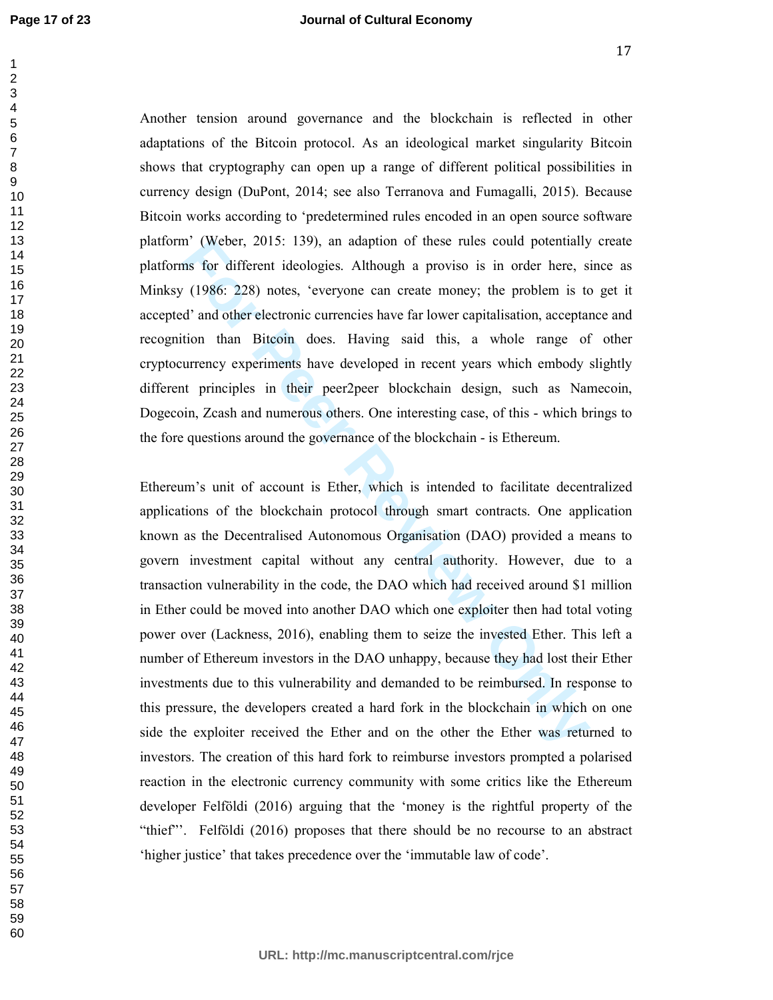Another tension around governance and the blockchain is reflected in other adaptations of the Bitcoin protocol. As an ideological market singularity Bitcoin shows that cryptography can open up a range of different political possibilities in currency design (DuPont, 2014; see also Terranova and Fumagalli, 2015). Because Bitcoin works according to 'predetermined rules encoded in an open source software platform' (Weber, 2015: 139), an adaption of these rules could potentially create platforms for different ideologies. Although a proviso is in order here, since as Minksy (1986: 228) notes, 'everyone can create money; the problem is to get it accepted' and other electronic currencies have far lower capitalisation, acceptance and recognition than Bitcoin does. Having said this, a whole range of other cryptocurrency experiments have developed in recent years which embody slightly different principles in their peer2peer blockchain design, such as Namecoin, Dogecoin, Zcash and numerous others. One interesting case, of this - which brings to the fore questions around the governance of the blockchain - is Ethereum.

m' (Weber, 2015: 139), an adapton of these rules could potentially<br>ms for different ideologies. Although a proviso is in order here, s<br>(1986: 228) notes, 'everyone can create money; the problem is to<br>d' and other electroni Ethereum's unit of account is Ether, which is intended to facilitate decentralized applications of the blockchain protocol through smart contracts. One application known as the Decentralised Autonomous Organisation (DAO) provided a means to govern investment capital without any central authority. However, due to a transaction vulnerability in the code, the DAO which had received around \$1 million in Ether could be moved into another DAO which one exploiter then had total voting power over (Lackness, 2016), enabling them to seize the invested Ether. This left a number of Ethereum investors in the DAO unhappy, because they had lost their Ether investments due to this vulnerability and demanded to be reimbursed. In response to this pressure, the developers created a hard fork in the blockchain in which on one side the exploiter received the Ether and on the other the Ether was returned to investors. The creation of this hard fork to reimburse investors prompted a polarised reaction in the electronic currency community with some critics like the Ethereum developer Felföldi (2016) arguing that the 'money is the rightful property of the "thief"'. Felföldi (2016) proposes that there should be no recourse to an abstract 'higher justice' that takes precedence over the 'immutable law of code'.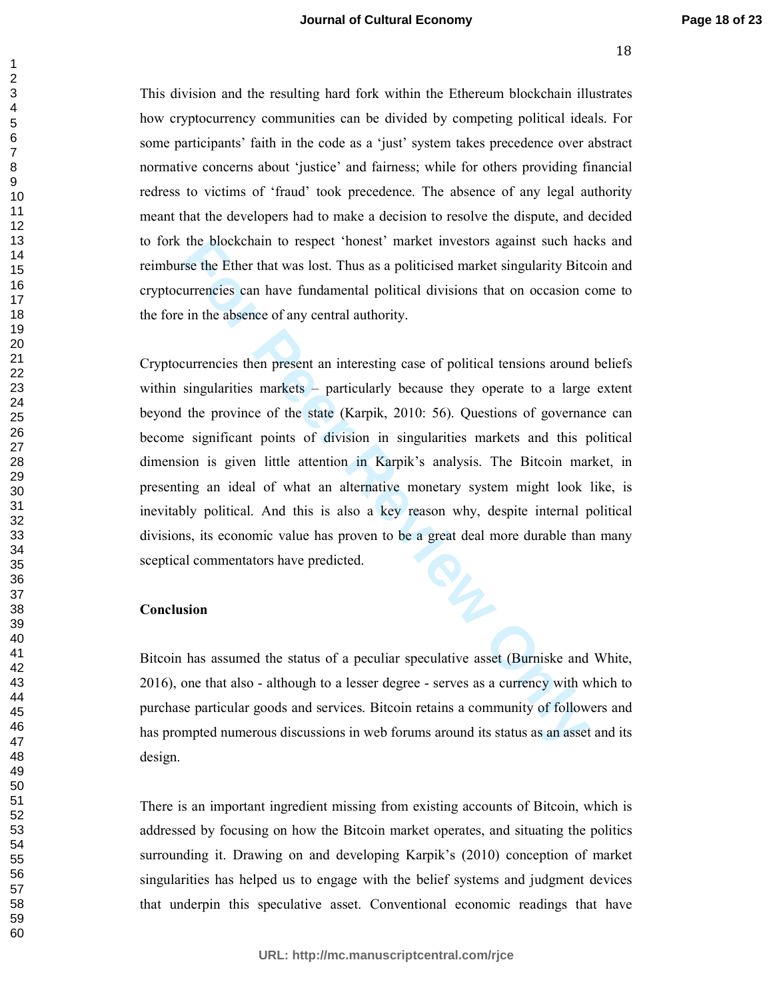This division and the resulting hard fork within the Ethereum blockchain illustrates how cryptocurrency communities can be divided by competing political ideals. For some participants' faith in the code as a 'just' system takes precedence over abstract normative concerns about 'justice' and fairness; while for others providing financial redress to victims of 'fraud' took precedence. The absence of any legal authority meant that the developers had to make a decision to resolve the dispute, and decided to fork the blockchain to respect 'honest' market investors against such hacks and reimburse the Ether that was lost. Thus as a politicised market singularity Bitcoin and cryptocurrencies can have fundamental political divisions that on occasion come to the fore in the absence of any central authority.

the blockchain to respect 'honest' market investors against such has<br>the field the Ether that was lost. Thus as a politicised market singularity Bitc<br>urrencies can have fundamental political divisions that on occasion c<br>in Cryptocurrencies then present an interesting case of political tensions around beliefs within singularities markets – particularly because they operate to a large extent beyond the province of the state (Karpik, 2010: 56). Questions of governance can become significant points of division in singularities markets and this political dimension is given little attention in Karpik's analysis. The Bitcoin market, in presenting an ideal of what an alternative monetary system might look like, is inevitably political. And this is also a key reason why, despite internal political divisions, its economic value has proven to be a great deal more durable than many sceptical commentators have predicted.

#### **Conclusion**

Bitcoin has assumed the status of a peculiar speculative asset (Burniske and White, 2016), one that also - although to a lesser degree - serves as a currency with which to purchase particular goods and services. Bitcoin retains a community of followers and has prompted numerous discussions in web forums around its status as an asset and its design.

There is an important ingredient missing from existing accounts of Bitcoin, which is addressed by focusing on how the Bitcoin market operates, and situating the politics surrounding it. Drawing on and developing Karpik's (2010) conception of market singularities has helped us to engage with the belief systems and judgment devices that underpin this speculative asset. Conventional economic readings that have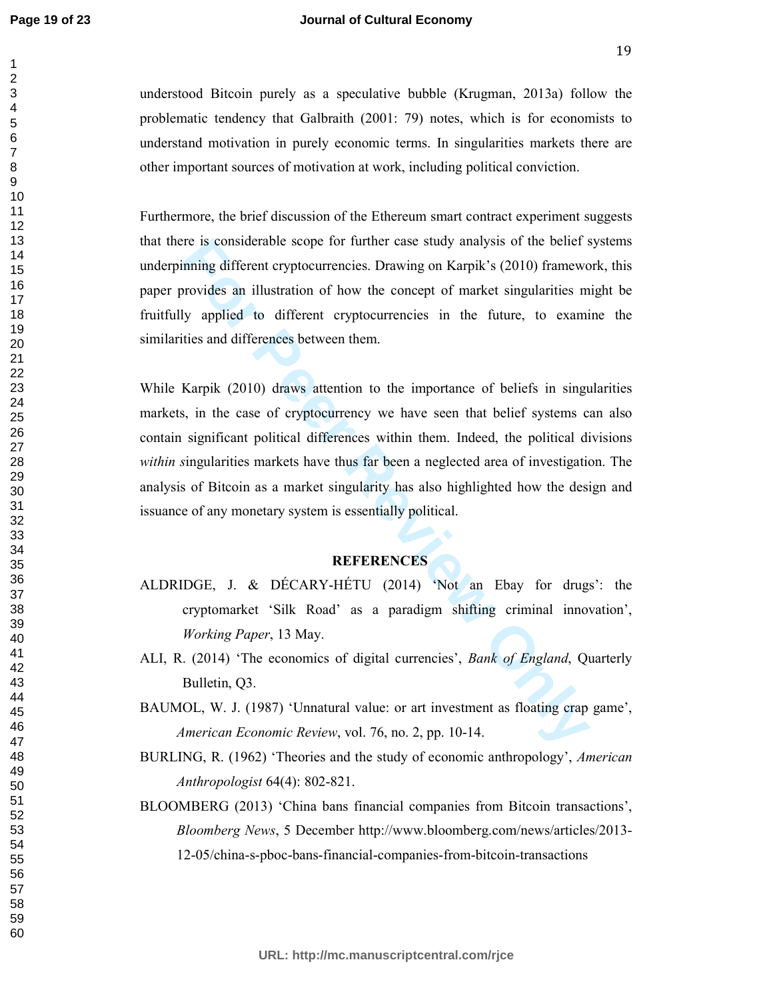# **Journal of Cultural Economy**

understood Bitcoin purely as a speculative bubble (Krugman, 2013a) follow the problematic tendency that Galbraith (2001: 79) notes, which is for economists to understand motivation in purely economic terms. In singularities markets there are other important sources of motivation at work, including political conviction.

Furthermore, the brief discussion of the Ethereum smart contract experiment suggests that there is considerable scope for further case study analysis of the belief systems underpinning different cryptocurrencies. Drawing on Karpik's (2010) framework, this paper provides an illustration of how the concept of market singularities might be fruitfully applied to different cryptocurrencies in the future, to examine the similarities and differences between them.

For external external external external external external external external external external external external external external external external external external external external external external external external ex While Karpik (2010) draws attention to the importance of beliefs in singularities markets, in the case of cryptocurrency we have seen that belief systems can also contain significant political differences within them. Indeed, the political divisions *within s*ingularities markets have thus far been a neglected area of investigation. The analysis of Bitcoin as a market singularity has also highlighted how the design and issuance of any monetary system is essentially political.

#### **REFERENCES**

- ALDRIDGE, J. & DÉCARY-HÉTU (2014) 'Not an Ebay for drugs': the cryptomarket 'Silk Road' as a paradigm shifting criminal innovation', *Working Paper*, 13 May.
- ALI, R. (2014) 'The economics of digital currencies', *Bank of England*, Quarterly Bulletin, Q3.
- BAUMOL, W. J. (1987) 'Unnatural value: or art investment as floating crap game', *American Economic Review*, vol. 76, no. 2, pp. 10-14.
- BURLING, R. (1962) 'Theories and the study of economic anthropology', *American Anthropologist* 64(4): 802-821.
- BLOOMBERG (2013) 'China bans financial companies from Bitcoin transactions', *Bloomberg News*, 5 December http://www.bloomberg.com/news/articles/2013- 12-05/china-s-pboc-bans-financial-companies-from-bitcoin-transactions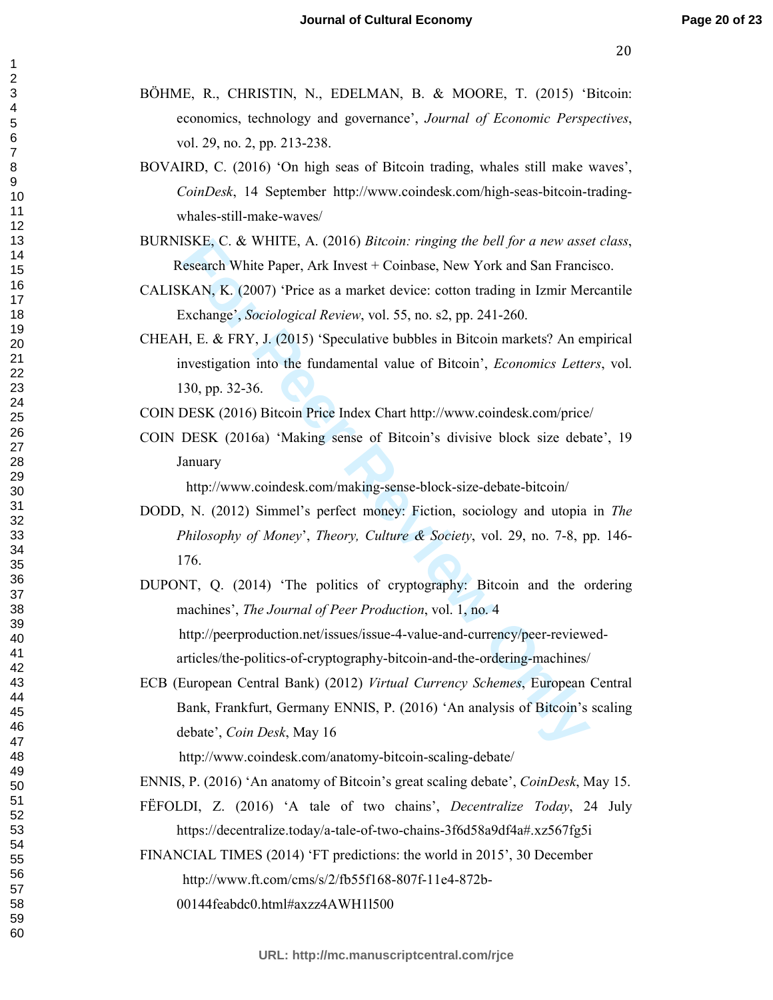- BÖHME, R., CHRISTIN, N., EDELMAN, B. & MOORE, T. (2015) 'Bitcoin: economics, technology and governance', *Journal of Economic Perspectives*, vol. 29, no. 2, pp. 213-238.
- BOVAIRD, C. (2016) 'On high seas of Bitcoin trading, whales still make waves', *CoinDesk*, 14 September http://www.coindesk.com/high-seas-bitcoin-tradingwhales-still-make-waves/
- BURNISKE, C. & WHITE, A. (2016) *Bitcoin: ringing the bell for a new asset class*, Research White Paper, Ark Invest + Coinbase, New York and San Francisco.
- CALISKAN, K. (2007) 'Price as a market device: cotton trading in Izmir Mercantile Exchange', *Sociological Review*, vol. 55, no. s2, pp. 241-260.
- CHEAH, E. & FRY, J. (2015) 'Speculative bubbles in Bitcoin markets? An empirical investigation into the fundamental value of Bitcoin', *Economics Letters*, vol. 130, pp. 32-36.
- COIN DESK (2016) Bitcoin Price Index Chart http://www.coindesk.com/price/
- COIN DESK (2016a) 'Making sense of Bitcoin's divisive block size debate', 19 January

http://www.coindesk.com/making-sense-block-size-debate-bitcoin/

- DODD, N. (2012) Simmel's perfect money: Fiction, sociology and utopia in *The Philosophy of Money*', *Theory, Culture & Society*, vol. 29, no. 7-8, pp. 146- 176.
- ISKE, C. & WHITE, A. (2016) *Bitcoin: ringing the bell for a new asses*<br>esearch White Paper, Ark Invest + Coinbase, New York and San Franci<br>KAN, K. (2007) 'Price as a market device: cotton trading in Izmir Me<br>ixchange', *S* DUPONT, Q. (2014) 'The politics of cryptography: Bitcoin and the ordering machines', *The Journal of Peer Production*, vol. 1, no. 4 http://peerproduction.net/issues/issue-4-value-and-currency/peer-reviewedarticles/the-politics-of-cryptography-bitcoin-and-the-ordering-machines/
- ECB (European Central Bank) (2012) *Virtual Currency Schemes*, European Central Bank, Frankfurt, Germany ENNIS, P. (2016) 'An analysis of Bitcoin's scaling debate', *Coin Desk*, May 16

http://www.coindesk.com/anatomy-bitcoin-scaling-debate/

ENNIS, P. (2016) 'An anatomy of Bitcoin's great scaling debate', *CoinDesk*, May 15.

- FËFOLDI, Z. (2016) 'A tale of two chains', *Decentralize Today*, 24 July https://decentralize.today/a-tale-of-two-chains-3f6d58a9df4a#.xz567fg5i
- FINANCIAL TIMES (2014) 'FT predictions: the world in 2015', 30 December http://www.ft.com/cms/s/2/fb55f168-807f-11e4-872b-

00144feabdc0.html#axzz4AWH1l500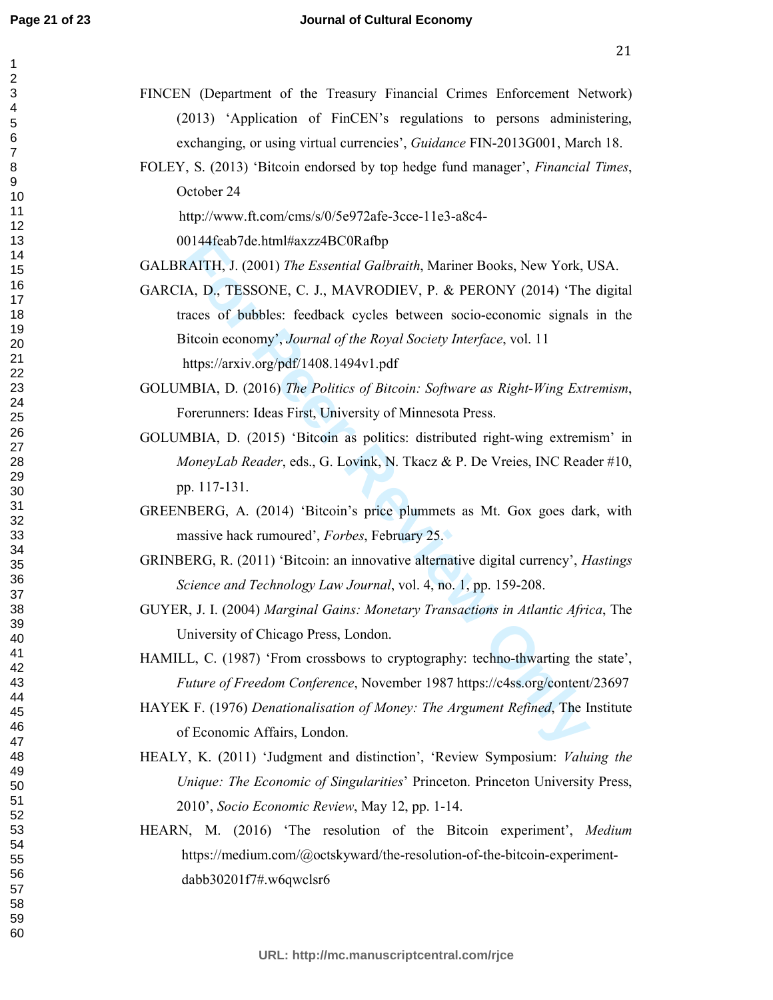#### **Journal of Cultural Economy**

- FINCEN (Department of the Treasury Financial Crimes Enforcement Network) (2013) 'Application of FinCEN's regulations to persons administering, exchanging, or using virtual currencies', *Guidance* FIN-2013G001, March 18.
	- FOLEY, S. (2013) 'Bitcoin endorsed by top hedge fund manager', *Financial Times*, October 24

http://www.ft.com/cms/s/0/5e972afe-3cce-11e3-a8c4-

00144feab7de.html#axzz4BC0Rafbp

- GALBRAITH, J. (2001) *The Essential Galbraith*, Mariner Books, New York, USA.
- 101441eab/de.html#axzz4BC0Rafbp<br>RAITH, J. (2001) *The Essential Galbratih*, Mariner Books, New York, IA, D., TESSONE, C. J., MAVRODIEV, P. & PERONY (2014) <sup>1</sup>The<br>races of bubbles: feedback cycles between socio-economic sig GARCIA, D., TESSONE, C. J., MAVRODIEV, P. & PERONY (2014) 'The digital traces of bubbles: feedback cycles between socio-economic signals in the Bitcoin economy', *Journal of the Royal Society Interface*, vol. 11 https://arxiv.org/pdf/1408.1494v1.pdf
- GOLUMBIA, D. (2016) *The Politics of Bitcoin: Software as Right-Wing Extremism*, Forerunners: Ideas First, University of Minnesota Press.
- GOLUMBIA, D. (2015) 'Bitcoin as politics: distributed right-wing extremism' in *MoneyLab Reader*, eds., G. Lovink, N. Tkacz & P. De Vreies, INC Reader #10, pp. 117-131.
- GREENBERG, A. (2014) 'Bitcoin's price plummets as Mt. Gox goes dark, with massive hack rumoured', *Forbes*, February 25.
- GRINBERG, R. (2011) 'Bitcoin: an innovative alternative digital currency', *Hastings Science and Technology Law Journal*, vol. 4, no. 1, pp. 159-208.
- GUYER, J. I. (2004) *Marginal Gains: Monetary Transactions in Atlantic Africa*, The University of Chicago Press, London.
- HAMILL, C. (1987) 'From crossbows to cryptography: techno-thwarting the state', *Future of Freedom Conference*, November 1987 https://c4ss.org/content/23697
- HAYEK F. (1976) *Denationalisation of Money: The Argument Refined*, The Institute of Economic Affairs, London.
- HEALY, K. (2011) 'Judgment and distinction', 'Review Symposium: *Valuing the Unique: The Economic of Singularities*' Princeton. Princeton University Press, 2010', *Socio Economic Review*, May 12, pp. 1-14.
- HEARN, M. (2016) 'The resolution of the Bitcoin experiment', *Medium*  https://medium.com/@octskyward/the-resolution-of-the-bitcoin-experimentdabb30201f7#.w6qwclsr6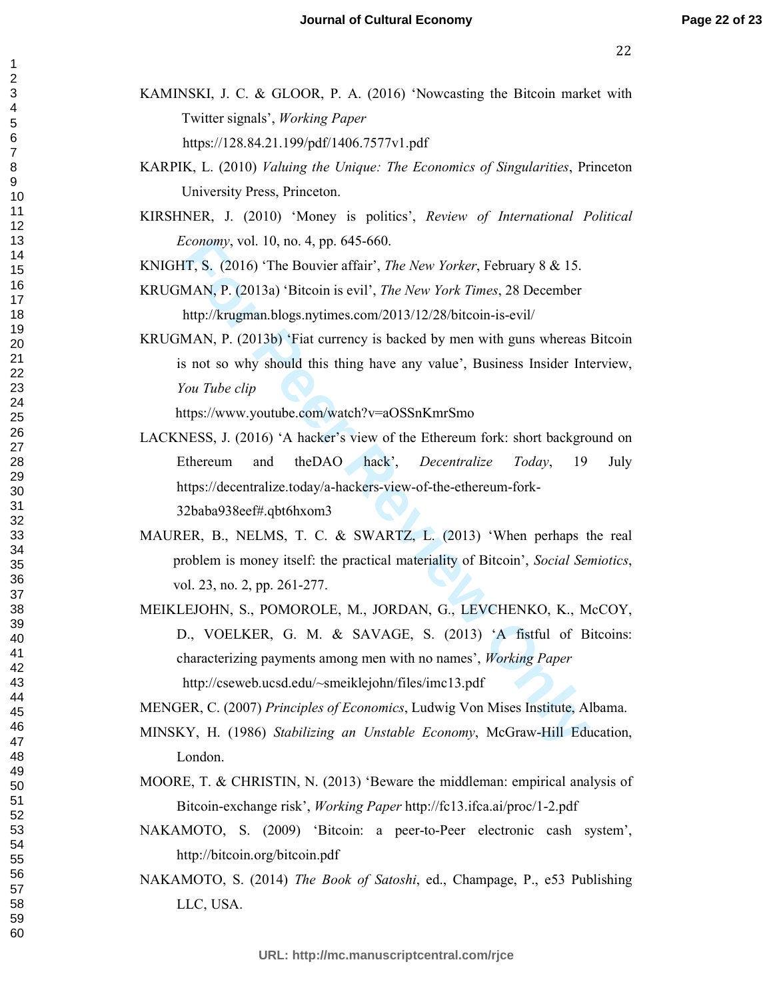- KAMINSKI, J. C. & GLOOR, P. A. (2016) 'Nowcasting the Bitcoin market with Twitter signals', *Working Paper*  https://128.84.21.199/pdf/1406.7577v1.pdf
- KARPIK, L. (2010) *Valuing the Unique: The Economics of Singularities*, Princeton University Press, Princeton.
- KIRSHNER, J. (2010) 'Money is politics', *Review of International Political Economy*, vol. 10, no. 4, pp. 645-660.
- KNIGHT, S. (2016) 'The Bouvier affair', *The New Yorker*, February 8 & 15.
- KRUGMAN, P. (2013a) 'Bitcoin is evil', *The New York Times*, 28 December http://krugman.blogs.nytimes.com/2013/12/28/bitcoin-is-evil/
- KRUGMAN, P. (2013b) 'Fiat currency is backed by men with guns whereas Bitcoin is not so why should this thing have any value', Business Insider Interview, *You Tube clip*

https://www.youtube.com/watch?v=aOSSnKmrSmo

- conomy, vol. 10, no. 4, pp. 643-660.<br> **FT, S.** (2016) 'The Bouvier affair', *The New Yorker*, February 8 & 15.<br>
MAN, P. (2013a) 'Bitcoin is evil', *The New York Times*, 28 December<br>
http://krugman.blogs.nytimes.com/2013/12 LACKNESS, J. (2016) 'A hacker's view of the Ethereum fork: short background on Ethereum and theDAO hack', *Decentralize Today*, 19 July https://decentralize.today/a-hackers-view-of-the-ethereum-fork-32baba938eef#.qbt6hxom3
- MAURER, B., NELMS, T. C. & SWARTZ, L. (2013) 'When perhaps the real problem is money itself: the practical materiality of Bitcoin', *Social Semiotics*, vol. 23, no. 2, pp. 261-277.
- MEIKLEJOHN, S., POMOROLE, M., JORDAN, G., LEVCHENKO, K., McCOY, D., VOELKER, G. M. & SAVAGE, S. (2013) 'A fistful of Bitcoins: characterizing payments among men with no names', *Working Paper* http://cseweb.ucsd.edu/~smeiklejohn/files/imc13.pdf
- MENGER, C. (2007) *Principles of Economics*, Ludwig Von Mises Institute, Albama.
- MINSKY, H. (1986) *Stabilizing an Unstable Economy*, McGraw-Hill Education, London.
- MOORE, T. & CHRISTIN, N. (2013) 'Beware the middleman: empirical analysis of Bitcoin-exchange risk', *Working Paper* http://fc13.ifca.ai/proc/1-2.pdf
- NAKAMOTO, S. (2009) 'Bitcoin: a peer-to-Peer electronic cash system', http://bitcoin.org/bitcoin.pdf
- NAKAMOTO, S. (2014) *The Book of Satoshi*, ed., Champage, P., e53 Publishing LLC, USA.

**URL: http://mc.manuscriptcentral.com/rjce**